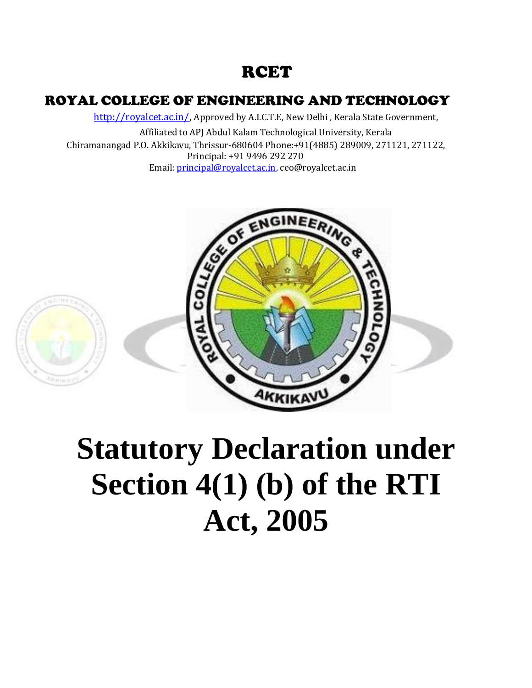# **RCET**

# ROYAL COLLEGE OF ENGINEERING AND TECHNOLOGY

[http://royalcet.ac.in/,](http://royalcet.ac.in/) Approved by A.I.C.T.E, New Delhi, Kerala State Government,

Affiliated to APJ Abdul Kalam Technological University, Kerala Chiramanangad P.O. Akkikavu, Thrissur-680604 Phone:+91(4885) 289009, 271121, 271122, Principal: +91 9496 292 270 Email: [principal@royalcet.ac.in, ceo@royalcet.ac.in](mailto:principal@royalcet.ac.in)





# **Statutory Declaration under Section 4(1) (b) of the RTI Act, 2005**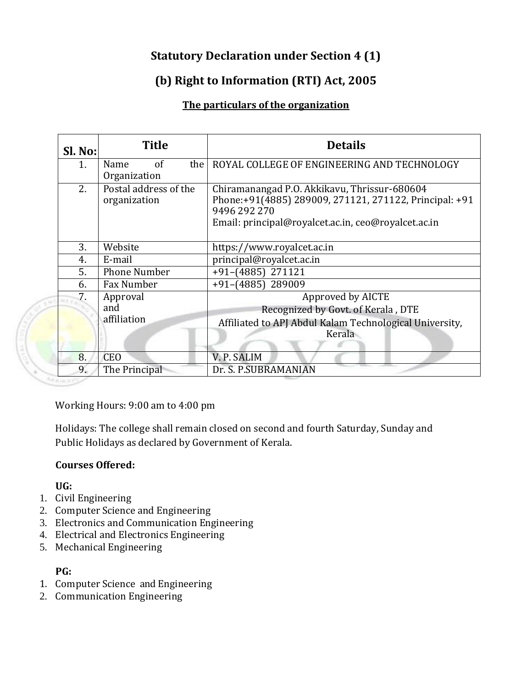# **Statutory Declaration under Section 4 (1)**

# **(b) Right to Information (RTI) Act, 2005**

### **The particulars of the organization**

| Sl. No:      | <b>Title</b>                          | <b>Details</b>                                                                                                                                                                |  |
|--------------|---------------------------------------|-------------------------------------------------------------------------------------------------------------------------------------------------------------------------------|--|
| 1.           | of<br>the I<br>Name<br>Organization   | ROYAL COLLEGE OF ENGINEERING AND TECHNOLOGY                                                                                                                                   |  |
| 2.           | Postal address of the<br>organization | Chiramanangad P.O. Akkikavu, Thrissur-680604<br>Phone:+91(4885) 289009, 271121, 271122, Principal: +91<br>9496 292 270<br>Email: principal@royalcet.ac.in, ceo@royalcet.ac.in |  |
| 3.           | Website                               | https://www.royalcet.ac.in                                                                                                                                                    |  |
| 4.           | E-mail                                | principal@royalcet.ac.in                                                                                                                                                      |  |
| 5.           | <b>Phone Number</b>                   | $+91-(4885)$ 271121                                                                                                                                                           |  |
| 6.           | Fax Number                            | +91-(4885) 289009                                                                                                                                                             |  |
| 7.<br>14 E a | Approval<br>and<br>affiliation        | Approved by AICTE<br>Recognized by Govt. of Kerala, DTE<br>Affiliated to APJ Abdul Kalam Technological University,<br>Kerala                                                  |  |
| 8.           | <b>CEO</b>                            | V. P. SALIM                                                                                                                                                                   |  |
| 9.           | The Principal                         | Dr. S. P.SUBRAMANIAN                                                                                                                                                          |  |

Working Hours: 9:00 am to 4:00 pm

Holidays: The college shall remain closed on second and fourth Saturday, Sunday and Public Holidays as declared by Government of Kerala.

#### **Courses Offered:**

**UG:**

- 1. Civil Engineering
- 2. Computer Science and Engineering
- 3. Electronics and Communication Engineering
- 4. Electrical and Electronics Engineering
- 5. Mechanical Engineering

#### **PG:**

- 1. Computer Science and Engineering
- 2. Communication Engineering